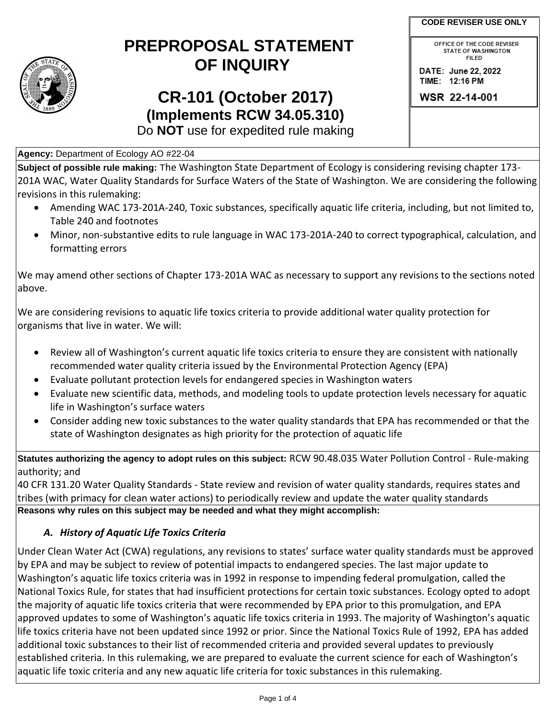

## **PREPROPOSAL STATEMENT OF INQUIRY**

# **CR-101 (October 2017) (Implements RCW 34.05.310)**

OFFICE OF THE CODE REVISER **STATE OF WASHINGTON FILED** 

DATE: June 22, 2022 TIME: 12:16 PM

WSR 22-14-001

Do **NOT** use for expedited rule making

**Agency:** Department of Ecology AO #22-04

**Subject of possible rule making:** The Washington State Department of Ecology is considering revising chapter 173- 201A WAC, Water Quality Standards for Surface Waters of the State of Washington. We are considering the following revisions in this rulemaking:

- Amending WAC 173-201A-240, Toxic substances, specifically aquatic life criteria, including, but not limited to, Table 240 and footnotes
- Minor, non-substantive edits to rule language in WAC 173-201A-240 to correct typographical, calculation, and formatting errors

We may amend other sections of Chapter 173-201A WAC as necessary to support any revisions to the sections noted above.

We are considering revisions to aquatic life toxics criteria to provide additional water quality protection for organisms that live in water. We will:

- Review all of Washington's current aquatic life toxics criteria to ensure they are consistent with nationally recommended water quality criteria issued by the Environmental Protection Agency (EPA)
- Evaluate pollutant protection levels for endangered species in Washington waters
- Evaluate new scientific data, methods, and modeling tools to update protection levels necessary for aquatic life in Washington's surface waters
- Consider adding new toxic substances to the water quality standards that EPA has recommended or that the state of Washington designates as high priority for the protection of aquatic life

**Statutes authorizing the agency to adopt rules on this subject:** RCW 90.48.035 Water Pollution Control - Rule-making authority; and

40 CFR 131.20 Water Quality Standards - State review and revision of water quality standards, requires states and tribes (with primacy for clean water actions) to periodically review and update the water quality standards **Reasons why rules on this subject may be needed and what they might accomplish:** 

#### *A. History of Aquatic Life Toxics Criteria*

Under Clean Water Act (CWA) regulations, any revisions to states' surface water quality standards must be approved by EPA and may be subject to review of potential impacts to endangered species. The last major update to Washington's aquatic life toxics criteria was in 1992 in response to impending federal promulgation, called the National Toxics Rule, for states that had insufficient protections for certain toxic substances. Ecology opted to adopt the majority of aquatic life toxics criteria that were recommended by EPA prior to this promulgation, and EPA approved updates to some of Washington's aquatic life toxics criteria in 1993. The majority of Washington's aquatic life toxics criteria have not been updated since 1992 or prior. Since the National Toxics Rule of 1992, EPA has added additional toxic substances to their list of recommended criteria and provided several updates to previously established criteria. In this rulemaking, we are prepared to evaluate the current science for each of Washington's aquatic life toxic criteria and any new aquatic life criteria for toxic substances in this rulemaking.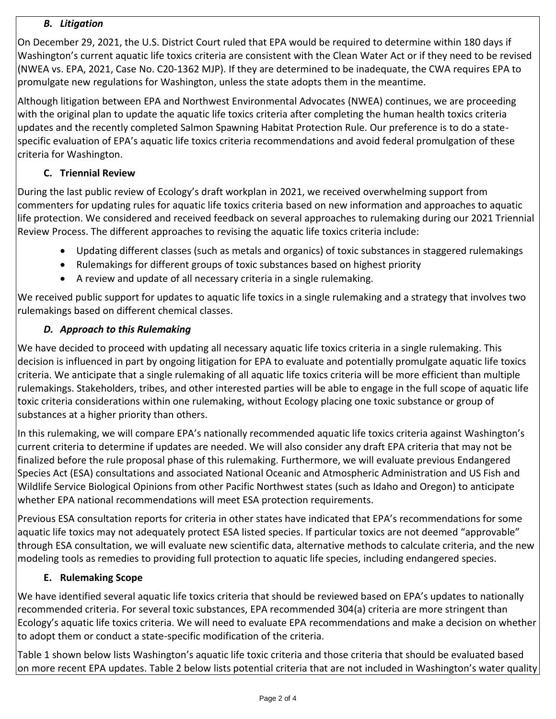#### *B. Litigation*

On December 29, 2021, the U.S. District Court ruled that EPA would be required to determine within 180 days if Washington's current aquatic life toxics criteria are consistent with the Clean Water Act or if they need to be revised (NWEA vs. EPA, 2021, Case No. C20-1362 MJP). If they are determined to be inadequate, the CWA requires EPA to promulgate new regulations for Washington, unless the state adopts them in the meantime.

Although litigation between EPA and Northwest Environmental Advocates (NWEA) continues, we are proceeding with the original plan to update the aquatic life toxics criteria after completing the human health toxics criteria updates and the recently completed Salmon Spawning Habitat Protection Rule. Our preference is to do a statespecific evaluation of EPA's aquatic life toxics criteria recommendations and avoid federal promulgation of these criteria for Washington.

### **C. Triennial Review**

During the last public review of Ecology's draft workplan in 2021, we received overwhelming support from commenters for updating rules for aquatic life toxics criteria based on new information and approaches to aquatic life protection. We considered and received feedback on several approaches to rulemaking during our 2021 Triennial Review Process. The different approaches to revising the aquatic life toxics criteria include:

- Updating different classes (such as metals and organics) of toxic substances in staggered rulemakings
- Rulemakings for different groups of toxic substances based on highest priority
- A review and update of all necessary criteria in a single rulemaking.

We received public support for updates to aquatic life toxics in a single rulemaking and a strategy that involves two rulemakings based on different chemical classes.

## *D. Approach to this Rulemaking*

We have decided to proceed with updating all necessary aquatic life toxics criteria in a single rulemaking. This decision is influenced in part by ongoing litigation for EPA to evaluate and potentially promulgate aquatic life toxics criteria. We anticipate that a single rulemaking of all aquatic life toxics criteria will be more efficient than multiple rulemakings. Stakeholders, tribes, and other interested parties will be able to engage in the full scope of aquatic life toxic criteria considerations within one rulemaking, without Ecology placing one toxic substance or group of substances at a higher priority than others.

In this rulemaking, we will compare EPA's nationally recommended aquatic life toxics criteria against Washington's current criteria to determine if updates are needed. We will also consider any draft EPA criteria that may not be finalized before the rule proposal phase of this rulemaking. Furthermore, we will evaluate previous Endangered Species Act (ESA) consultations and associated National Oceanic and Atmospheric Administration and US Fish and Wildlife Service Biological Opinions from other Pacific Northwest states (such as Idaho and Oregon) to anticipate whether EPA national recommendations will meet ESA protection requirements.

Previous ESA consultation reports for criteria in other states have indicated that EPA's recommendations for some aquatic life toxics may not adequately protect ESA listed species. If particular toxics are not deemed "approvable" through ESA consultation, we will evaluate new scientific data, alternative methods to calculate criteria, and the new modeling tools as remedies to providing full protection to aquatic life species, including endangered species.

#### **E. Rulemaking Scope**

We have identified several aquatic life toxics criteria that should be reviewed based on EPA's updates to nationally recommended criteria. For several toxic substances, EPA recommended 304(a) criteria are more stringent than Ecology's aquatic life toxics criteria. We will need to evaluate EPA recommendations and make a decision on whether to adopt them or conduct a state-specific modification of the criteria.

Table 1 shown below lists Washington's aquatic life toxic criteria and those criteria that should be evaluated based on more recent EPA updates. Table 2 below lists potential criteria that are not included in Washington's water quality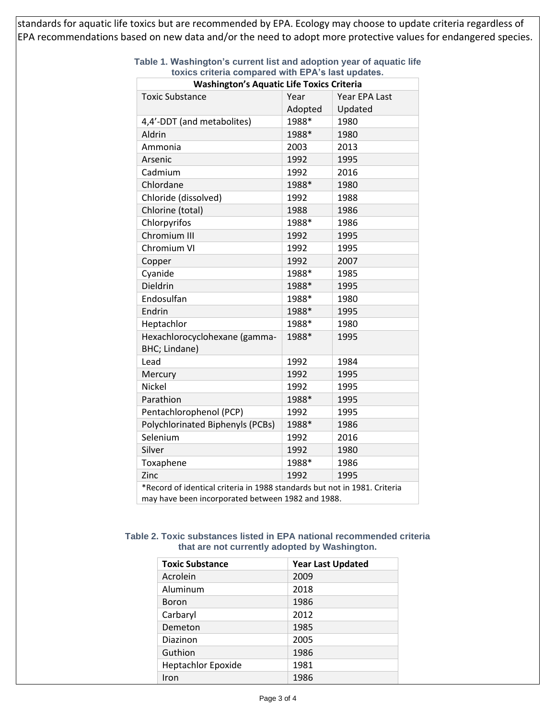standards for aquatic life toxics but are recommended by EPA. Ecology may choose to update criteria regardless of EPA recommendations based on new data and/or the need to adopt more protective values for endangered species.

| $100$ of iterial compared with Error idea appared.<br><b>Washington's Aquatic Life Toxics Criteria</b>                         |         |               |  |  |
|--------------------------------------------------------------------------------------------------------------------------------|---------|---------------|--|--|
| <b>Toxic Substance</b>                                                                                                         | Year    | Year EPA Last |  |  |
|                                                                                                                                | Adopted | Updated       |  |  |
| 4,4'-DDT (and metabolites)                                                                                                     | 1988*   | 1980          |  |  |
| Aldrin                                                                                                                         | 1988*   | 1980          |  |  |
| Ammonia                                                                                                                        | 2003    | 2013          |  |  |
| Arsenic                                                                                                                        | 1992    | 1995          |  |  |
| Cadmium                                                                                                                        | 1992    | 2016          |  |  |
| Chlordane                                                                                                                      | 1988*   | 1980          |  |  |
| Chloride (dissolved)                                                                                                           | 1992    | 1988          |  |  |
| Chlorine (total)                                                                                                               | 1988    | 1986          |  |  |
| Chlorpyrifos                                                                                                                   | 1988*   | 1986          |  |  |
| Chromium III                                                                                                                   | 1992    | 1995          |  |  |
| Chromium VI                                                                                                                    | 1992    | 1995          |  |  |
| Copper                                                                                                                         | 1992    | 2007          |  |  |
| Cyanide                                                                                                                        | 1988*   | 1985          |  |  |
| Dieldrin                                                                                                                       | 1988*   | 1995          |  |  |
| Endosulfan                                                                                                                     | 1988*   | 1980          |  |  |
| Endrin                                                                                                                         | 1988*   | 1995          |  |  |
| Heptachlor                                                                                                                     | 1988*   | 1980          |  |  |
| Hexachlorocyclohexane (gamma-<br>BHC; Lindane)                                                                                 | 1988*   | 1995          |  |  |
| Lead                                                                                                                           | 1992    | 1984          |  |  |
| Mercury                                                                                                                        | 1992    | 1995          |  |  |
| <b>Nickel</b>                                                                                                                  | 1992    | 1995          |  |  |
| Parathion                                                                                                                      | 1988*   | 1995          |  |  |
| Pentachlorophenol (PCP)                                                                                                        | 1992    | 1995          |  |  |
| Polychlorinated Biphenyls (PCBs)                                                                                               | 1988*   | 1986          |  |  |
| Selenium                                                                                                                       | 1992    | 2016          |  |  |
| Silver                                                                                                                         | 1992    | 1980          |  |  |
| Toxaphene                                                                                                                      | 1988*   | 1986          |  |  |
| Zinc                                                                                                                           | 1992    | 1995          |  |  |
| *Record of identical criteria in 1988 standards but not in 1981. Criteria<br>may have been incorporated between 1982 and 1988. |         |               |  |  |

#### **Table 1. Washington's current list and adoption year of aquatic life toxics criteria compared with EPA's last updates.**

#### **Table 2. Toxic substances listed in EPA national recommended criteria that are not currently adopted by Washington.**

| <b>Toxic Substance</b>    | <b>Year Last Updated</b> |  |
|---------------------------|--------------------------|--|
| Acrolein                  | 2009                     |  |
| Aluminum                  | 2018                     |  |
| <b>Boron</b>              | 1986                     |  |
| Carbaryl                  | 2012                     |  |
| Demeton                   | 1985                     |  |
| Diazinon                  | 2005                     |  |
| Guthion                   | 1986                     |  |
| <b>Heptachlor Epoxide</b> | 1981                     |  |
| Iron                      | 1986                     |  |